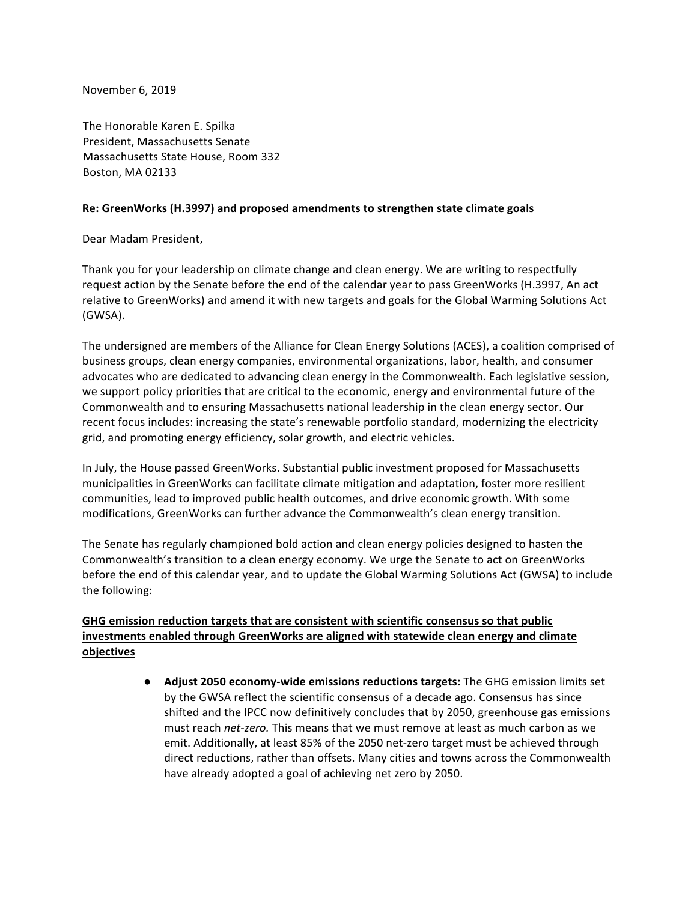November 6, 2019

The Honorable Karen E. Spilka President, Massachusetts Senate Massachusetts State House, Room 332 Boston, MA 02133

## **Re: GreenWorks (H.3997) and proposed amendments to strengthen state climate goals**

Dear Madam President,

Thank you for your leadership on climate change and clean energy. We are writing to respectfully request action by the Senate before the end of the calendar year to pass GreenWorks (H.3997, An act relative to GreenWorks) and amend it with new targets and goals for the Global Warming Solutions Act (GWSA).

The undersigned are members of the Alliance for Clean Energy Solutions (ACES), a coalition comprised of business groups, clean energy companies, environmental organizations, labor, health, and consumer advocates who are dedicated to advancing clean energy in the Commonwealth. Each legislative session, we support policy priorities that are critical to the economic, energy and environmental future of the Commonwealth and to ensuring Massachusetts national leadership in the clean energy sector. Our recent focus includes: increasing the state's renewable portfolio standard, modernizing the electricity grid, and promoting energy efficiency, solar growth, and electric vehicles.

In July, the House passed GreenWorks. Substantial public investment proposed for Massachusetts municipalities in GreenWorks can facilitate climate mitigation and adaptation, foster more resilient communities, lead to improved public health outcomes, and drive economic growth. With some modifications, GreenWorks can further advance the Commonwealth's clean energy transition.

The Senate has regularly championed bold action and clean energy policies designed to hasten the Commonwealth's transition to a clean energy economy. We urge the Senate to act on GreenWorks before the end of this calendar year, and to update the Global Warming Solutions Act (GWSA) to include the following:

## GHG emission reduction targets that are consistent with scientific consensus so that public investments enabled through GreenWorks are aligned with statewide clean energy and climate **objectives**

• Adjust 2050 economy-wide emissions reductions targets: The GHG emission limits set by the GWSA reflect the scientific consensus of a decade ago. Consensus has since shifted and the IPCC now definitively concludes that by 2050, greenhouse gas emissions must reach net-zero. This means that we must remove at least as much carbon as we emit. Additionally, at least 85% of the 2050 net-zero target must be achieved through direct reductions, rather than offsets. Many cities and towns across the Commonwealth have already adopted a goal of achieving net zero by 2050.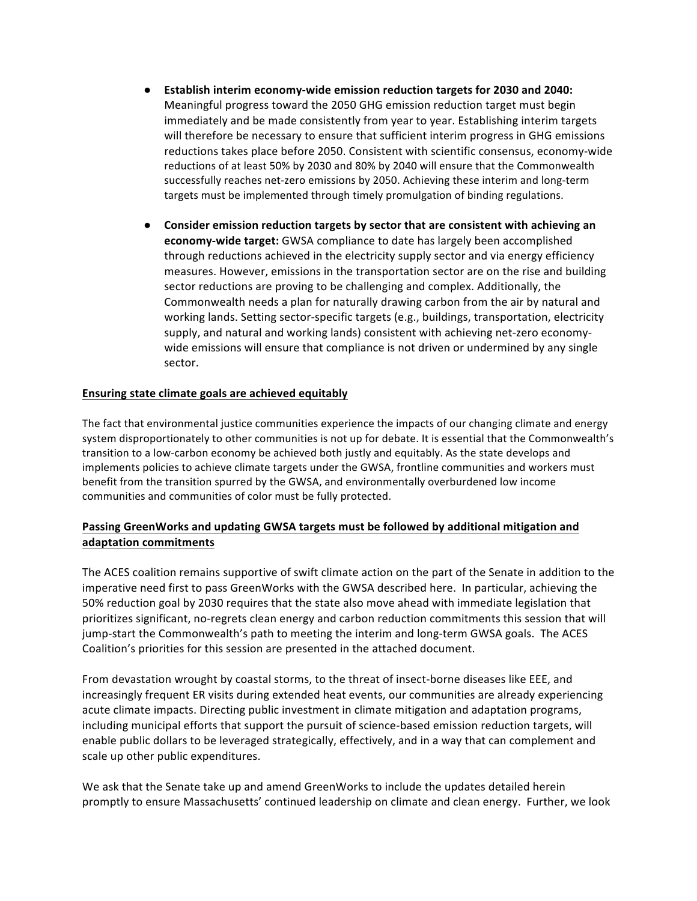- **Establish interim economy-wide emission reduction targets for 2030 and 2040:** Meaningful progress toward the 2050 GHG emission reduction target must begin immediately and be made consistently from year to year. Establishing interim targets will therefore be necessary to ensure that sufficient interim progress in GHG emissions reductions takes place before 2050. Consistent with scientific consensus, economy-wide reductions of at least 50% by 2030 and 80% by 2040 will ensure that the Commonwealth successfully reaches net-zero emissions by 2050. Achieving these interim and long-term targets must be implemented through timely promulgation of binding regulations.
- **•** Consider emission reduction targets by sector that are consistent with achieving an **economy-wide target:** GWSA compliance to date has largely been accomplished through reductions achieved in the electricity supply sector and via energy efficiency measures. However, emissions in the transportation sector are on the rise and building sector reductions are proving to be challenging and complex. Additionally, the Commonwealth needs a plan for naturally drawing carbon from the air by natural and working lands. Setting sector-specific targets (e.g., buildings, transportation, electricity supply, and natural and working lands) consistent with achieving net-zero economywide emissions will ensure that compliance is not driven or undermined by any single sector.

## **Ensuring state climate goals are achieved equitably**

The fact that environmental justice communities experience the impacts of our changing climate and energy system disproportionately to other communities is not up for debate. It is essential that the Commonwealth's transition to a low-carbon economy be achieved both justly and equitably. As the state develops and implements policies to achieve climate targets under the GWSA, frontline communities and workers must benefit from the transition spurred by the GWSA, and environmentally overburdened low income communities and communities of color must be fully protected.

## Passing GreenWorks and updating GWSA targets must be followed by additional mitigation and **adaptation commitments**

The ACES coalition remains supportive of swift climate action on the part of the Senate in addition to the imperative need first to pass GreenWorks with the GWSA described here. In particular, achieving the 50% reduction goal by 2030 requires that the state also move ahead with immediate legislation that prioritizes significant, no-regrets clean energy and carbon reduction commitments this session that will jump-start the Commonwealth's path to meeting the interim and long-term GWSA goals. The ACES Coalition's priorities for this session are presented in the attached document.

From devastation wrought by coastal storms, to the threat of insect-borne diseases like EEE, and increasingly frequent ER visits during extended heat events, our communities are already experiencing acute climate impacts. Directing public investment in climate mitigation and adaptation programs, including municipal efforts that support the pursuit of science-based emission reduction targets, will enable public dollars to be leveraged strategically, effectively, and in a way that can complement and scale up other public expenditures.

We ask that the Senate take up and amend GreenWorks to include the updates detailed herein promptly to ensure Massachusetts' continued leadership on climate and clean energy. Further, we look